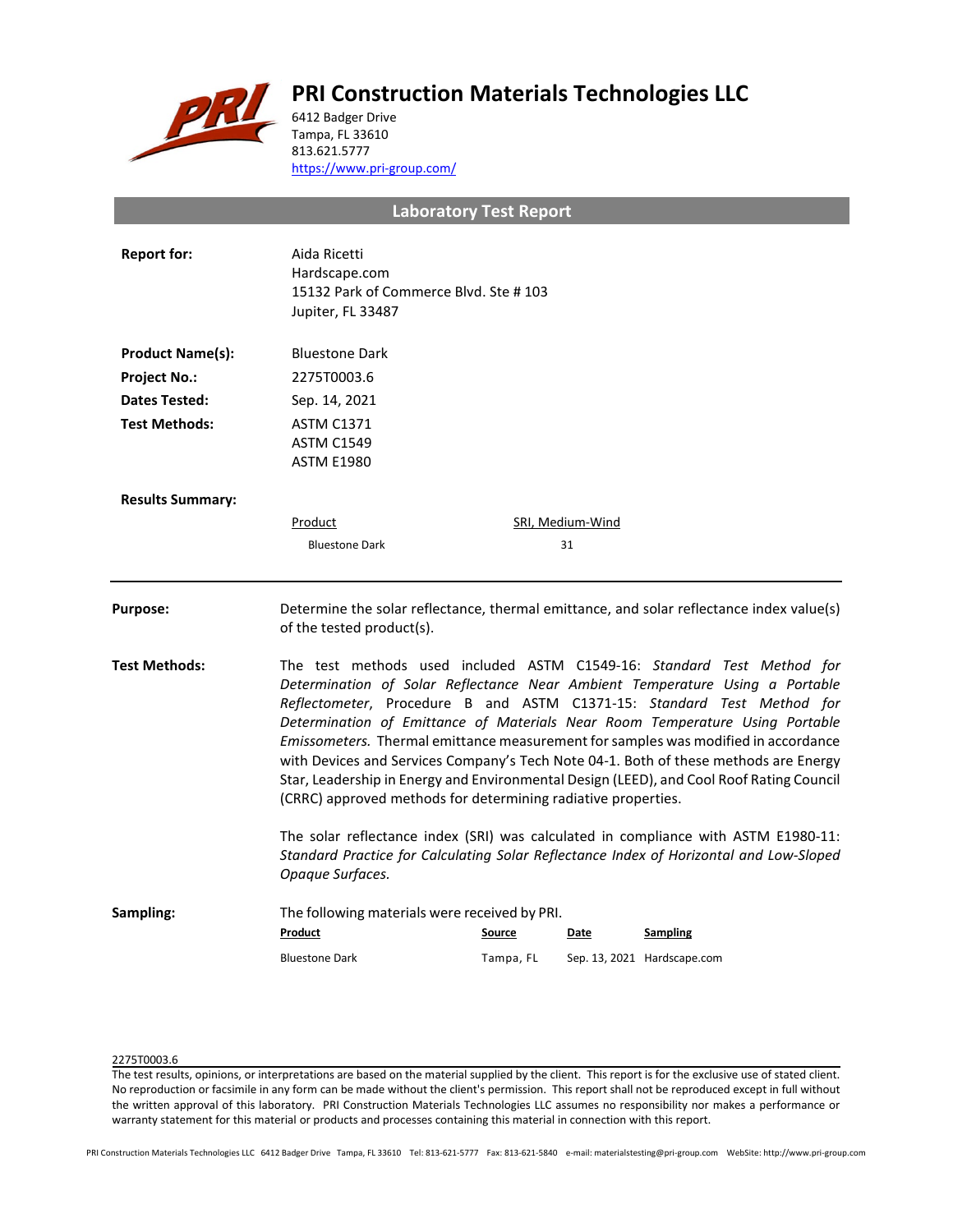# **PRI Construction Materials Technologies LLC**



6412 Badger Drive Tampa, FL 33610 813.621.5777 <https://www.pri-group.com/>

**Laboratory Test Report**

| <b>Report for:</b>      | Aida Ricetti<br>Hardscape.com<br>15132 Park of Commerce Blvd. Ste #103<br>Jupiter, FL 33487                                                                                                                                                                                                                                                                                                                                                                                                                                                                                                                                                                 |                                                         |                  |                                                                                          |  |
|-------------------------|-------------------------------------------------------------------------------------------------------------------------------------------------------------------------------------------------------------------------------------------------------------------------------------------------------------------------------------------------------------------------------------------------------------------------------------------------------------------------------------------------------------------------------------------------------------------------------------------------------------------------------------------------------------|---------------------------------------------------------|------------------|------------------------------------------------------------------------------------------|--|
| <b>Product Name(s):</b> | <b>Bluestone Dark</b>                                                                                                                                                                                                                                                                                                                                                                                                                                                                                                                                                                                                                                       |                                                         |                  |                                                                                          |  |
| <b>Project No.:</b>     | 2275T0003.6                                                                                                                                                                                                                                                                                                                                                                                                                                                                                                                                                                                                                                                 |                                                         |                  |                                                                                          |  |
| Dates Tested:           | Sep. 14, 2021                                                                                                                                                                                                                                                                                                                                                                                                                                                                                                                                                                                                                                               |                                                         |                  |                                                                                          |  |
| <b>Test Methods:</b>    | <b>ASTM C1371</b><br><b>ASTM C1549</b><br><b>ASTM E1980</b>                                                                                                                                                                                                                                                                                                                                                                                                                                                                                                                                                                                                 |                                                         |                  |                                                                                          |  |
| <b>Results Summary:</b> |                                                                                                                                                                                                                                                                                                                                                                                                                                                                                                                                                                                                                                                             |                                                         |                  |                                                                                          |  |
|                         | Product                                                                                                                                                                                                                                                                                                                                                                                                                                                                                                                                                                                                                                                     |                                                         | SRI, Medium-Wind |                                                                                          |  |
|                         | <b>Bluestone Dark</b>                                                                                                                                                                                                                                                                                                                                                                                                                                                                                                                                                                                                                                       |                                                         | 31               |                                                                                          |  |
| <b>Purpose:</b>         | of the tested product(s).                                                                                                                                                                                                                                                                                                                                                                                                                                                                                                                                                                                                                                   |                                                         |                  | Determine the solar reflectance, thermal emittance, and solar reflectance index value(s) |  |
| <b>Test Methods:</b>    | The test methods used included ASTM C1549-16: Standard Test Method for<br>Determination of Solar Reflectance Near Ambient Temperature Using a Portable<br>Reflectometer, Procedure B and ASTM C1371-15: Standard Test Method for<br>Determination of Emittance of Materials Near Room Temperature Using Portable<br>Emissometers. Thermal emittance measurement for samples was modified in accordance<br>with Devices and Services Company's Tech Note 04-1. Both of these methods are Energy<br>Star, Leadership in Energy and Environmental Design (LEED), and Cool Roof Rating Council<br>(CRRC) approved methods for determining radiative properties. |                                                         |                  |                                                                                          |  |
|                         | The solar reflectance index (SRI) was calculated in compliance with ASTM E1980-11:<br>Standard Practice for Calculating Solar Reflectance Index of Horizontal and Low-Sloped<br>Opaque Surfaces.                                                                                                                                                                                                                                                                                                                                                                                                                                                            |                                                         |                  |                                                                                          |  |
| Sampling:               | Product                                                                                                                                                                                                                                                                                                                                                                                                                                                                                                                                                                                                                                                     | The following materials were received by PRI.<br>Source | Date             | <b>Sampling</b>                                                                          |  |
|                         | <b>Bluestone Dark</b>                                                                                                                                                                                                                                                                                                                                                                                                                                                                                                                                                                                                                                       | Tampa, FL                                               |                  | Sep. 13, 2021 Hardscape.com                                                              |  |

## 2275T0003.6

The test results, opinions, or interpretations are based on the material supplied by the client. This report is for the exclusive use of stated client. No reproduction or facsimile in any form can be made without the client's permission. This report shall not be reproduced except in full without the written approval of this laboratory. PRI Construction Materials Technologies LLC assumes no responsibility nor makes a performance or warranty statement for this material or products and processes containing this material in connection with this report.

PRI Construction Materials Technologies LLC 6412 Badger Drive Tampa, FL 33610 Tel: 813-621-5777 Fax: 813-621-5840 e-mail: materialstesting@pri-group.com WebSite: http://www.pri-group.com